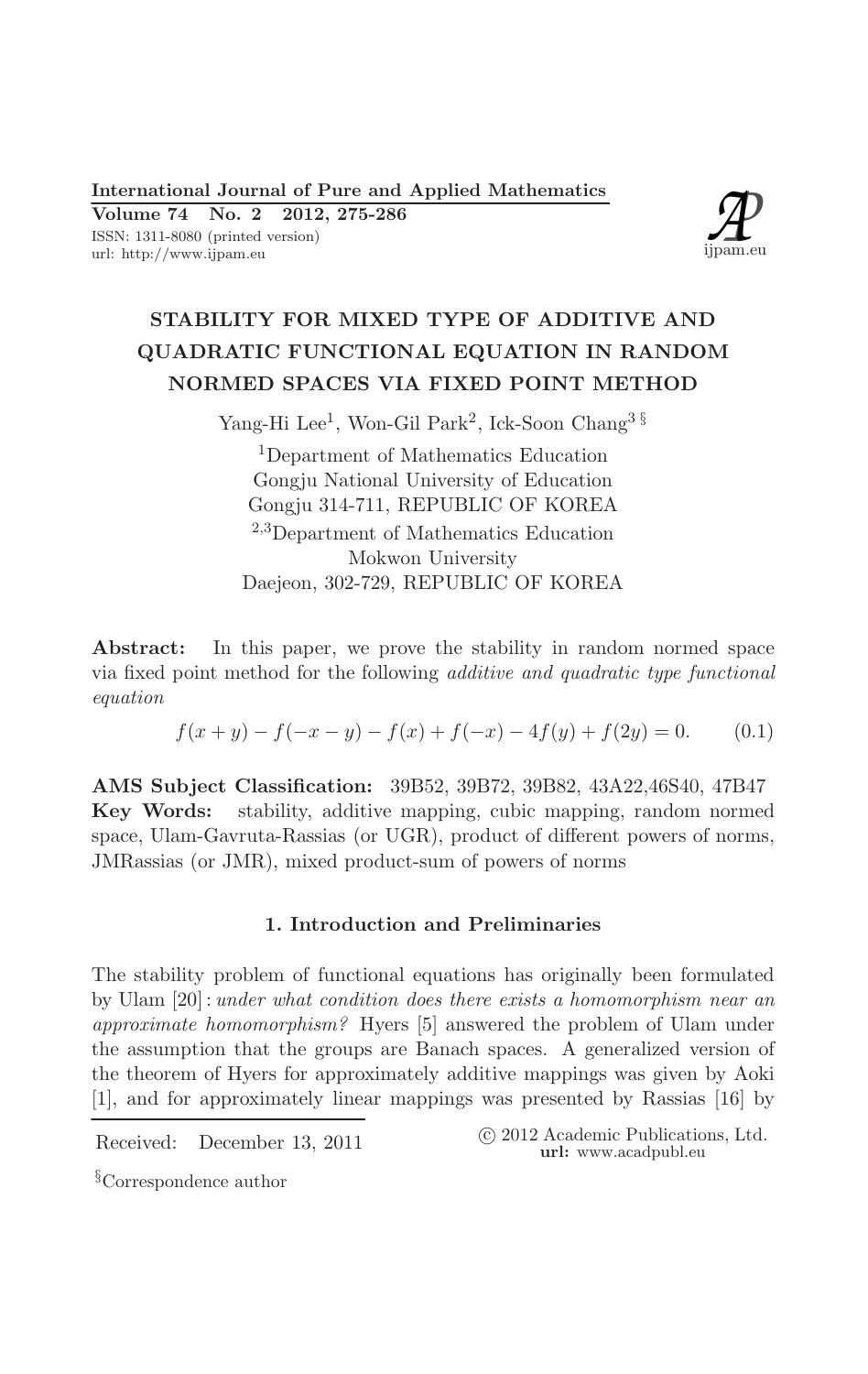**International Journal of Pure and Applied Mathematics** 2012, 275-286 Volume 74 No. 2

ISSN: 1311-8080 (printed version) url: http://www.ijpam.eu



# STABILITY FOR MIXED TYPE OF ADDITIVE AND QUADRATIC FUNCTIONAL EQUATION IN RANDOM NORMED SPACES VIA FIXED POINT METHOD

Yang-Hi Lee<sup>1</sup>, Won-Gil Park<sup>2</sup>, Ick-Soon Chang<sup>3  $\S$ </sup>

<sup>1</sup>Department of Mathematics Education Gongju National University of Education Gongju 314-711, REPUBLIC OF KOREA  $2,3$ Department of Mathematics Education Mokwon University Daejeon, 302-729, REPUBLIC OF KOREA

Abstract: In this paper, we prove the stability in random normed space via fixed point method for the following *additive and quadratic type functional* equation

$$
f(x + y) - f(-x - y) - f(x) + f(-x) - 4f(y) + f(2y) = 0.
$$
 (0.1)

AMS Subject Classification: 39B52, 39B72, 39B82, 43A22,46S40, 47B47 Key Words: stability, additive mapping, cubic mapping, random normed space, Ulam-Gavruta-Rassias (or UGR), product of different powers of norms, JMRassias (or JMR), mixed product-sum of powers of norms

# 1. Introduction and Preliminaries

The stability problem of functional equations has originally been formulated by Ulam  $[20]$ : under what condition does there exists a homomorphism near an approximate homomorphism? Hyers [5] answered the problem of Ulam under the assumption that the groups are Banach spaces. A generalized version of the theorem of Hyers for approximately additive mappings was given by Aoki [1], and for approximately linear mappings was presented by Rassias [16] by

Received: December 13, 2011

```
(c) 2012 Academic Publications, Ltd.
url: www.acadpubl.eu
```
<sup>§</sup>Correspondence author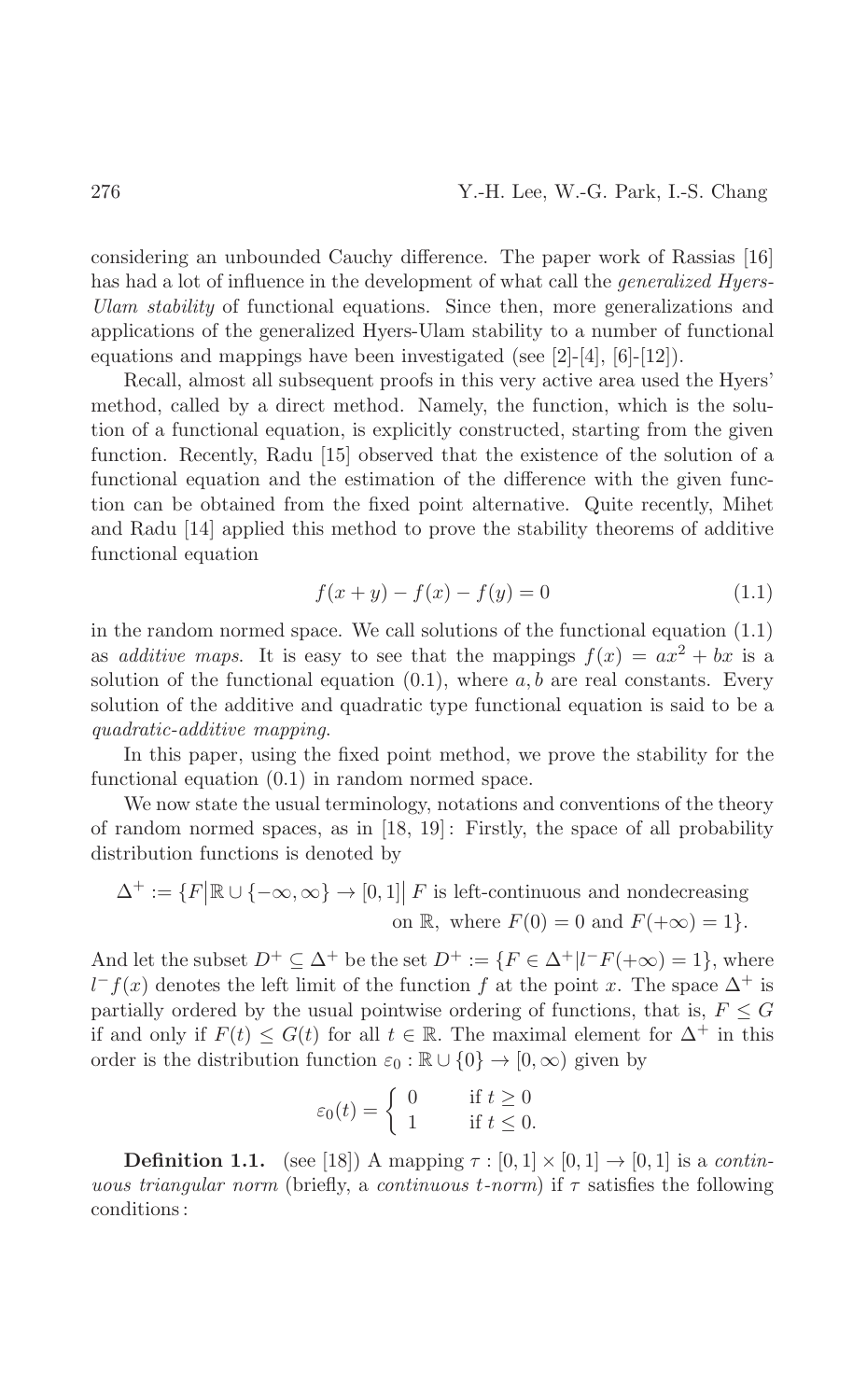considering an unbounded Cauchy difference. The paper work of Rassias [16] has had a lot of influence in the development of what call the *generalized Hyers*-Ulam stability of functional equations. Since then, more generalizations and applications of the generalized Hyers-Ulam stability to a number of functional equations and mappings have been investigated (see  $[2]-[4], [6]-[12]$ ).

Recall, almost all subsequent proofs in this very active area used the Hyers' method, called by a direct method. Namely, the function, which is the solution of a functional equation, is explicitly constructed, starting from the given function. Recently, Radu [15] observed that the existence of the solution of a functional equation and the estimation of the difference with the given function can be obtained from the fixed point alternative. Quite recently, Mihet and Radu [14] applied this method to prove the stability theorems of additive functional equation

$$
f(x + y) - f(x) - f(y) = 0 \tag{1.1}
$$

in the random normed space. We call solutions of the functional equation  $(1.1)$ as *additive maps*. It is easy to see that the mappings  $f(x) = ax^2 + bx$  is a solution of the functional equation  $(0.1)$ , where  $a, b$  are real constants. Every solution of the additive and quadratic type functional equation is said to be a quadratic-additive mapping.

In this paper, using the fixed point method, we prove the stability for the functional equation  $(0.1)$  in random normed space.

We now state the usual terminology, notations and conventions of the theory of random normed spaces, as in  $[18, 19]$ : Firstly, the space of all probability distribution functions is denoted by

$$
\Delta^+ := \{ F \big| \mathbb{R} \cup \{ -\infty, \infty \} \to [0, 1] \big| F \text{ is left-continuous and nondecreasing}
$$
  
on  $\mathbb{R}$ , where  $F(0) = 0$  and  $F(+\infty) = 1 \}.$ 

And let the subset  $D^+ \subseteq \Delta^+$  be the set  $D^+ := \{ F \in \Delta^+ | l^- F(+\infty) = 1 \}$ , where  $l^-f(x)$  denotes the left limit of the function f at the point x. The space  $\Delta^+$  is partially ordered by the usual pointwise ordering of functions, that is,  $F \leq G$ if and only if  $F(t) \leq G(t)$  for all  $t \in \mathbb{R}$ . The maximal element for  $\Delta^+$  in this order is the distribution function  $\varepsilon_0 : \mathbb{R} \cup \{0\} \to [0, \infty)$  given by

$$
\varepsilon_0(t) = \begin{cases} 0 & \text{if } t \ge 0 \\ 1 & \text{if } t \le 0. \end{cases}
$$

**Definition 1.1.** (see [18]) A mapping  $\tau : [0,1] \times [0,1] \rightarrow [0,1]$  is a *continuous triangular norm* (briefly, a *continuous t-norm*) if  $\tau$  satisfies the following conditions: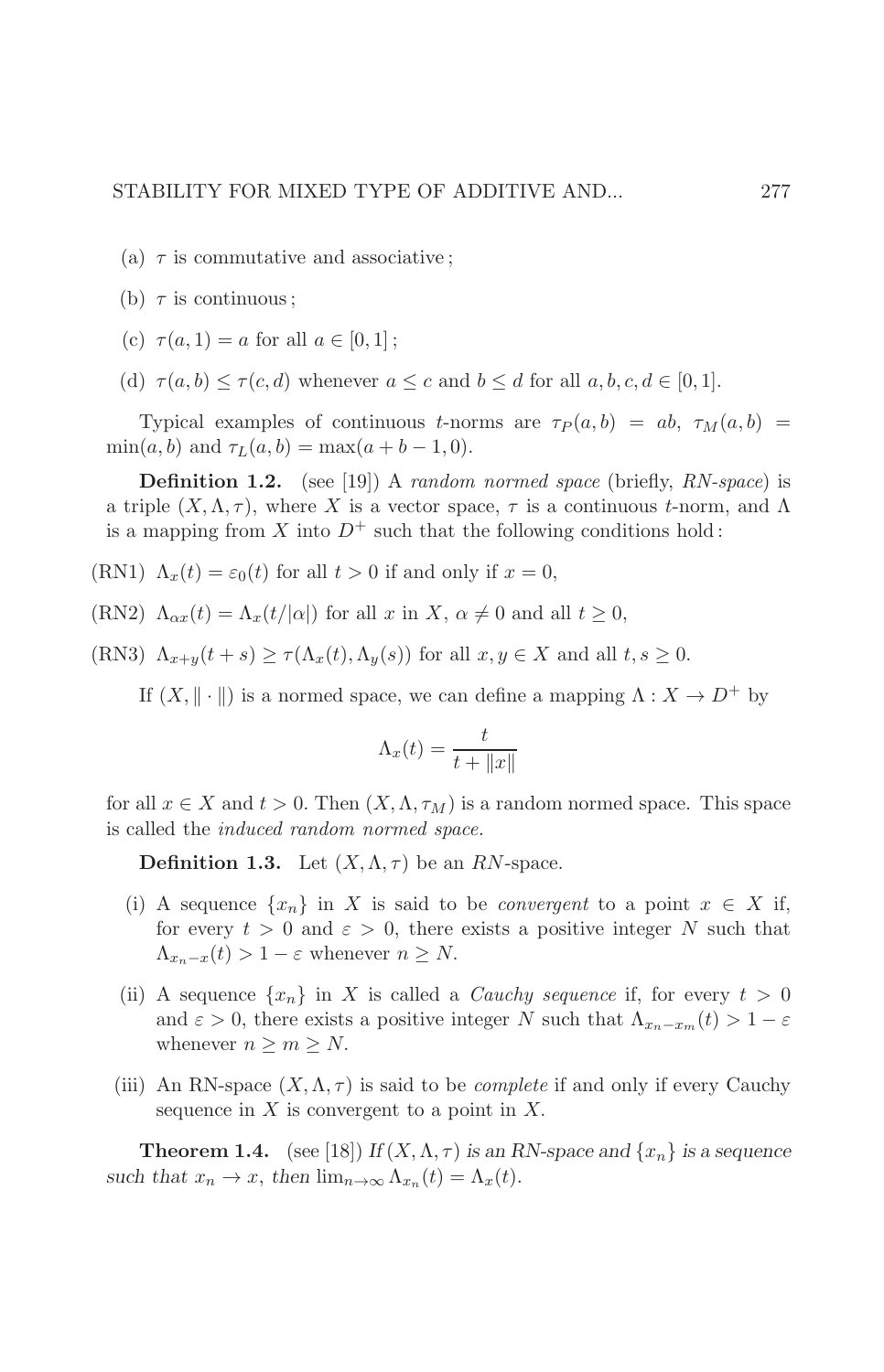- (a)  $\tau$  is commutative and associative;
- (b)  $\tau$  is continuous;
- (c)  $\tau(a, 1) = a$  for all  $a \in [0, 1]$ ;
- (d)  $\tau(a, b) \leq \tau(c, d)$  whenever  $a \leq c$  and  $b \leq d$  for all  $a, b, c, d \in [0, 1]$ .

Typical examples of continuous *t*-norms are  $\tau_P(a,b) = ab, \tau_M(a,b) =$  $\min(a, b)$  and  $\tau_L(a, b) = \max(a + b - 1, 0)$ .

**Definition 1.2.** (see [19]) A random normed space (briefly, RN-space) is a triple  $(X, \Lambda, \tau)$ , where X is a vector space,  $\tau$  is a continuous t-norm, and  $\Lambda$ is a mapping from X into  $D^+$  such that the following conditions hold:

- (RN1)  $\Lambda_x(t) = \varepsilon_0(t)$  for all  $t > 0$  if and only if  $x = 0$ ,
- (RN2)  $\Lambda_{\alpha x}(t) = \Lambda_x(t/|\alpha|)$  for all x in X,  $\alpha \neq 0$  and all  $t \geq 0$ ,

(RN3)  $\Lambda_{x+y}(t+s) \geq \tau(\Lambda_x(t), \Lambda_y(s))$  for all  $x, y \in X$  and all  $t, s \geq 0$ .

If  $(X, \|\cdot\|)$  is a normed space, we can define a mapping  $\Lambda: X \to D^+$  by

$$
\Lambda_x(t) = \frac{t}{t + \|x\|}
$$

for all  $x \in X$  and  $t > 0$ . Then  $(X, \Lambda, \tau_M)$  is a random normed space. This space is called the *induced random normed space*.

**Definition 1.3.** Let  $(X, \Lambda, \tau)$  be an RN-space.

- (i) A sequence  $\{x_n\}$  in X is said to be *convergent* to a point  $x \in X$  if, for every  $t > 0$  and  $\varepsilon > 0$ , there exists a positive integer N such that  $\Lambda_{x_n-x}(t) > 1 - \varepsilon$  whenever  $n \geq N$ .
- (ii) A sequence  $\{x_n\}$  in X is called a *Cauchy sequence* if, for every  $t > 0$ and  $\varepsilon > 0$ , there exists a positive integer N such that  $\Lambda_{x_n-x_m}(t) > 1 - \varepsilon$ whenever  $n \geq m \geq N$ .
- (iii) An RN-space  $(X, \Lambda, \tau)$  is said to be *complete* if and only if every Cauchy sequence in  $X$  is convergent to a point in  $X$ .

**Theorem 1.4.** (see [18]) If  $(X, \Lambda, \tau)$  is an RN-space and  $\{x_n\}$  is a sequence such that  $x_n \to x$ , then  $\lim_{n\to\infty} \Lambda_{x_n}(t) = \Lambda_x(t)$ .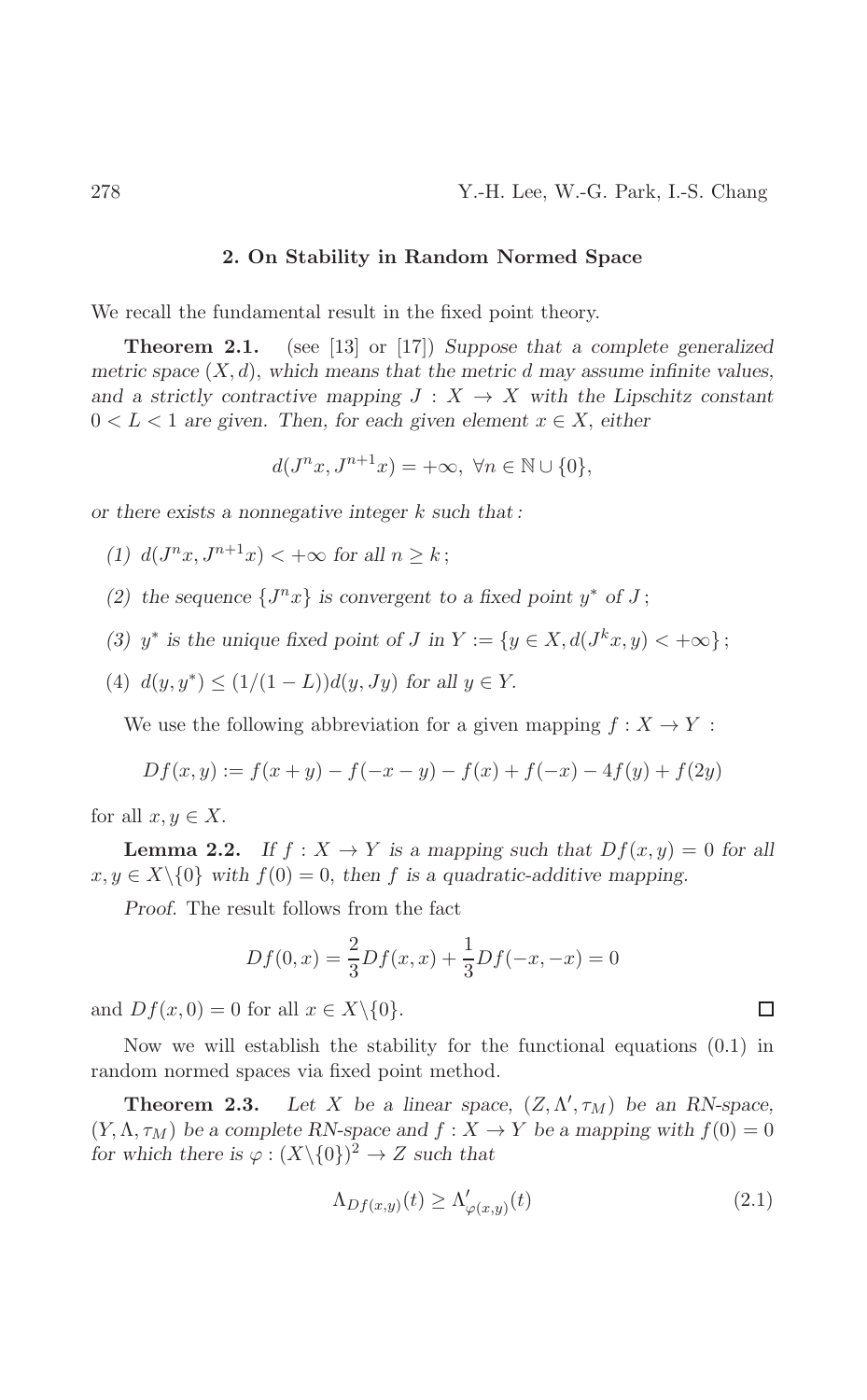#### 2. On Stability in Random Normed Space

We recall the fundamental result in the fixed point theory.

Theorem 2.1. (see [13] or [17]) Suppose that a complete generalized metric space  $(X, d)$ , which means that the metric d may assume infinite values, and a strictly contractive mapping  $J: X \to X$  with the Lipschitz constant  $0 < L < 1$  are given. Then, for each given element  $x \in X$ , either

$$
d(J^{n}x, J^{n+1}x) = +\infty, \ \forall n \in \mathbb{N} \cup \{0\},
$$

or there exists a nonnegative integer  $k$  such that:

(1)  $d(J^{n}x, J^{n+1}x) < +\infty$  for all  $n > k$ ;

- (2) the sequence  $\{J^n x\}$  is convergent to a fixed point  $y^*$  of J;
- (3)  $y^*$  is the unique fixed point of J in  $Y := \{y \in X, d(J^kx, y) < +\infty\}\,;$
- (4)  $d(y, y^*) \leq (1/(1-L))d(y, Jy)$  for all  $y \in Y$ .

We use the following abbreviation for a given mapping  $f: X \to Y$ :

$$
Df(x, y) := f(x + y) - f(-x - y) - f(x) + f(-x) - 4f(y) + f(2y)
$$

for all  $x, y \in X$ .

**Lemma 2.2.** If  $f: X \to Y$  is a mapping such that  $Df(x, y) = 0$  for all  $x, y \in X \setminus \{0\}$  with  $f(0) = 0$ , then f is a quadratic-additive mapping.

Proof. The result follows from the fact

$$
Df(0, x) = \frac{2}{3}Df(x, x) + \frac{1}{3}Df(-x, -x) = 0
$$

and  $Df(x, 0) = 0$  for all  $x \in X \setminus \{0\}.$ 

Now we will establish the stability for the functional equations  $(0.1)$  in random normed spaces via fixed point method.

Theorem 2.3. Let X be a linear space,  $(Z, \Lambda', \tau_M)$  be an RN-space,  $(Y, \Lambda, \tau_M)$  be a complete RN-space and  $f: X \to Y$  be a mapping with  $f(0) = 0$ for which there is  $\varphi : (X \setminus \{0\})^2 \to Z$  such that

$$
\Lambda_{Df(x,y)}(t) \ge \Lambda_{\varphi(x,y)}'(t) \tag{2.1}
$$

 $\Box$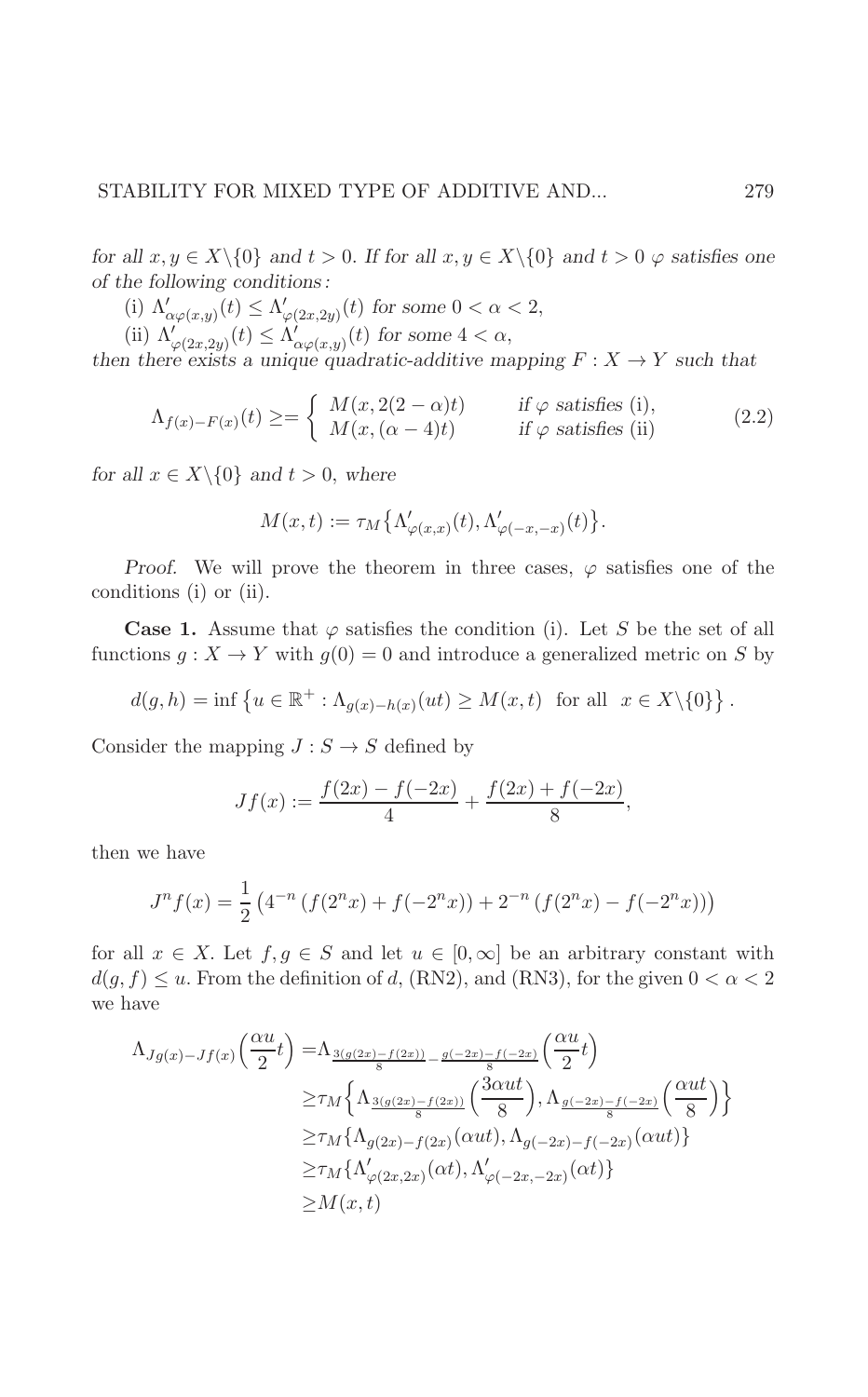for all  $x, y \in X \setminus \{0\}$  and  $t > 0$ . If for all  $x, y \in X \setminus \{0\}$  and  $t > 0$   $\varphi$  satisfies one of the following conditions:

- $\begin{array}{l} \mbox{(i)} \ \Lambda'_{\alpha\varphi(x,y)}(t) \leq \Lambda'_{\varphi(2x,2y)}(t) \ \mbox{for some} \ 0<\alpha<2,\\ \mbox{(ii)} \ \Lambda'_{\varphi(2x,2y)}(t) \leq \Lambda'_{\alpha\varphi(x,y)}(t) \ \mbox{for some} \ 4<\alpha, \end{array}$
- 

then there exists a unique quadratic-additive mapping  $F: X \to Y$  such that

$$
\Lambda_{f(x)-F(x)}(t) \geq = \begin{cases} M(x, 2(2-\alpha)t) & \text{if } \varphi \text{ satisfies (i)},\\ M(x, (\alpha-4)t) & \text{if } \varphi \text{ satisfies (ii)} \end{cases}
$$
(2.2)

for all  $x \in X \setminus \{0\}$  and  $t > 0$ , where

$$
M(x,t) := \tau_M\big\{\Lambda_{\varphi(x,x)}'(t), \Lambda_{\varphi(-x,-x)}'(t)\big\}.
$$

*Proof.* We will prove the theorem in three cases,  $\varphi$  satisfies one of the conditions (i) or (ii).

**Case 1.** Assume that  $\varphi$  satisfies the condition (i). Let S be the set of all functions  $g: X \to Y$  with  $g(0) = 0$  and introduce a generalized metric on S by

$$
d(g, h) = \inf \left\{ u \in \mathbb{R}^+ : \Lambda_{g(x) - h(x)}(ut) \ge M(x, t) \text{ for all } x \in X \setminus \{0\} \right\}.
$$

Consider the mapping  $J : S \to S$  defined by

$$
Jf(x) := \frac{f(2x) - f(-2x)}{4} + \frac{f(2x) + f(-2x)}{8},
$$

then we have

$$
J^{n} f(x) = \frac{1}{2} \left( 4^{-n} \left( f(2^{n} x) + f(-2^{n} x) \right) + 2^{-n} \left( f(2^{n} x) - f(-2^{n} x) \right) \right)
$$

for all  $x \in X$ . Let  $f, g \in S$  and let  $u \in [0,\infty]$  be an arbitrary constant with  $d(g, f) \leq u$ . From the definition of d, (RN2), and (RN3), for the given  $0 < \alpha < 2$ we have

$$
\Lambda_{Jg(x)-Jf(x)}\left(\frac{\alpha u}{2}t\right) = \Lambda_{\frac{3(g(2x)-f(2x))}{8} - \frac{g(-2x)-f(-2x)}{8}}\left(\frac{\alpha u}{2}t\right)
$$
  
\n
$$
\geq \tau_M \left\{\Lambda_{\frac{3(g(2x)-f(2x))}{8}}\left(\frac{3\alpha u t}{8}\right), \Lambda_{\frac{g(-2x)-f(-2x)}{8}}\left(\frac{\alpha u t}{8}\right)\right\}
$$
  
\n
$$
\geq \tau_M \left\{\Lambda_{g(2x)-f(2x)}(\alpha u t), \Lambda_{g(-2x)-f(-2x)}(\alpha u t)\right\}
$$
  
\n
$$
\geq \tau_M \left\{\Lambda'_{\varphi(2x,2x)}(\alpha t), \Lambda'_{\varphi(-2x,-2x)}(\alpha t)\right\}
$$
  
\n
$$
\geq M(x,t)
$$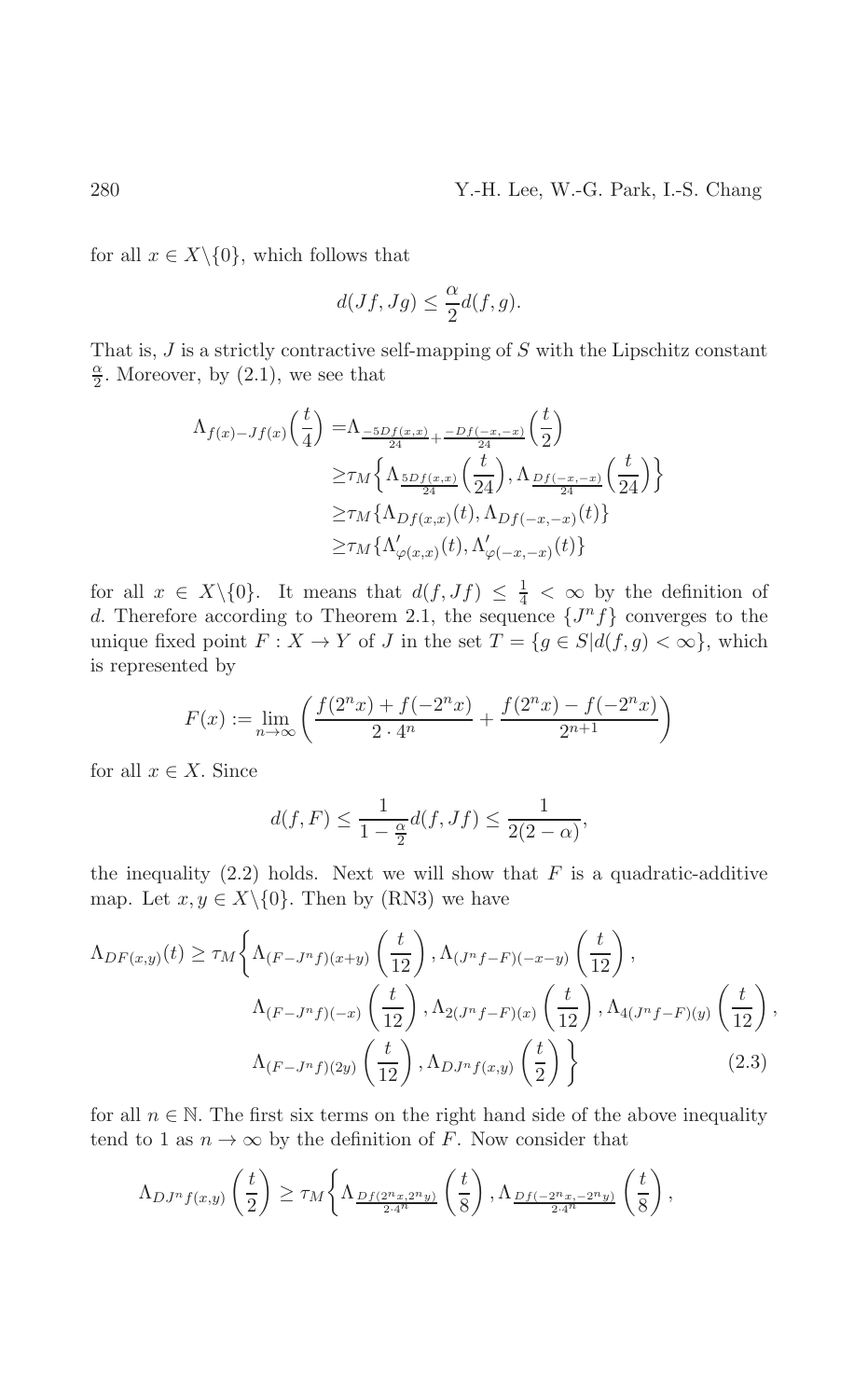for all  $x \in X \setminus \{0\}$ , which follows that

$$
d(Jf, Jg) \le \frac{\alpha}{2}d(f, g).
$$

That is,  $J$  is a strictly contractive self-mapping of  $S$  with the Lipschitz constant  $\frac{\alpha}{2}$ . Moreover, by (2.1), we see that

$$
\Lambda_{f(x)-Jf(x)}\left(\frac{t}{4}\right) = \Lambda_{\frac{-5Df(x,x)}{24} + \frac{-Df(-x,-x)}{24}}\left(\frac{t}{2}\right)
$$
\n
$$
\geq \tau_M \left\{\Lambda_{\frac{5Df(x,x)}{24}}\left(\frac{t}{24}\right), \Lambda_{\frac{Df(-x,-x)}{24}}\left(\frac{t}{24}\right)\right\}
$$
\n
$$
\geq \tau_M \left\{\Lambda_{Df(x,x)}(t), \Lambda_{Df(-x,-x)}(t)\right\}
$$
\n
$$
\geq \tau_M \left\{\Lambda'_{\varphi(x,x)}(t), \Lambda'_{\varphi(-x,-x)}(t)\right\}
$$

for all  $x \in X \setminus \{0\}$ . It means that  $d(f, Jf) \leq \frac{1}{4} < \infty$  by the definition of d. Therefore according to Theorem 2.1, the sequence  $\{J^n f\}$  converges to the unique fixed point  $F: X \to Y$  of J in the set  $T = \{g \in S | d(f, g) < \infty\}$ , which is represented by

$$
F(x):=\lim_{n\to\infty}\left(\frac{f(2^nx)+f(-2^nx)}{2\cdot 4^n}+\frac{f(2^nx)-f(-2^nx)}{2^{n+1}}\right)
$$

for all  $x \in X$ . Since

$$
d(f, F) \le \frac{1}{1 - \frac{\alpha}{2}} d(f, Jf) \le \frac{1}{2(2 - \alpha)},
$$

the inequality  $(2.2)$  holds. Next we will show that F is a quadratic-additive map. Let  $x, y \in X \setminus \{0\}$ . Then by (RN3) we have

$$
\Lambda_{DF(x,y)}(t) \ge \tau_M \left\{ \Lambda_{(F-J^n f)(x+y)}\left(\frac{t}{12}\right), \Lambda_{(J^n f - F)(-x-y)}\left(\frac{t}{12}\right), \Lambda_{4(J^n f - F)(y)}\left(\frac{t}{12}\right), \Lambda_{4(J^n f - F)(y)}\left(\frac{t}{12}\right), \Lambda_{4(J^n f - F)(y)}\left(\frac{t}{12}\right), \Lambda_{(F-J^n f)(2y)}\left(\frac{t}{12}\right), \Lambda_{D,J^n f(x,y)}\left(\frac{t}{2}\right) \right\}
$$
\n
$$
(2.3)
$$

for all  $n \in \mathbb{N}$ . The first six terms on the right hand side of the above inequality tend to 1 as  $n \to \infty$  by the definition of F. Now consider that

$$
\Lambda_{DJ^n f(x,y)}\left(\frac{t}{2}\right) \geq \tau_M\left\{\Lambda_{\frac{DJ(2^n x,2^n y)}{2\cdot 4^n}}\left(\frac{t}{8}\right), \Lambda_{\frac{DJ(-2^n x,-2^n y)}{2\cdot 4^n}}\left(\frac{t}{8}\right),\right\}
$$

280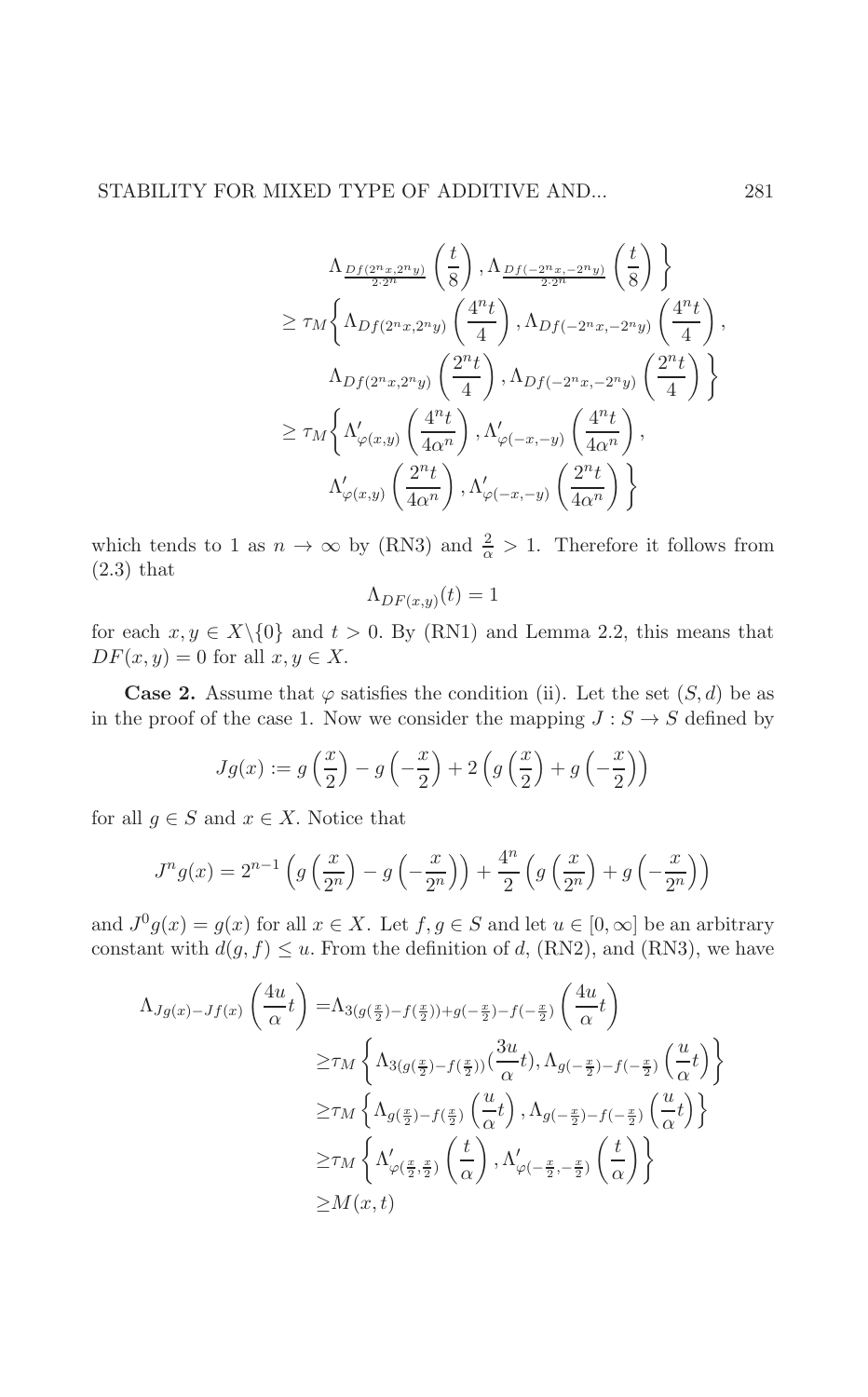$$
\Lambda_{\frac{Df(2^{n}x,2^{n}y)}{2\cdot 2^{n}}}\left(\frac{t}{8}\right), \Lambda_{\frac{Df(-2^{n}x,-2^{n}y)}{2\cdot 2^{n}}}\left(\frac{t}{8}\right)\right\}
$$
\n
$$
\geq \tau_{M}\left\{\Lambda_{Df(2^{n}x,2^{n}y)}\left(\frac{4^{n}t}{4}\right), \Lambda_{Df(-2^{n}x,-2^{n}y)}\left(\frac{4^{n}t}{4}\right), \Lambda_{Df(2^{n}x,-2^{n}y)}\left(\frac{2^{n}t}{4}\right)\right\}
$$
\n
$$
\Lambda_{Df(2^{n}x,2^{n}y)}\left(\frac{2^{n}t}{4}\right), \Lambda_{Df(-2^{n}x,-2^{n}y)}\left(\frac{2^{n}t}{4}\right)\right\}
$$
\n
$$
\geq \tau_{M}\left\{\Lambda_{\varphi(x,y)}'\left(\frac{4^{n}t}{4\alpha^{n}}\right), \Lambda_{\varphi(-x,-y)}'\left(\frac{4^{n}t}{4\alpha^{n}}\right), \Lambda_{\varphi(x,y)}'\left(\frac{2^{n}t}{4\alpha^{n}}\right), \Lambda_{\varphi(-x,-y)}'\left(\frac{2^{n}t}{4\alpha^{n}}\right)\right\}
$$

which tends to 1 as  $n \to \infty$  by (RN3) and  $\frac{2}{\alpha} > 1$ . Therefore it follows from  $(2.3)$  that

$$
\Lambda_{DF(x,y)}(t) = 1
$$

for each  $x, y \in X \setminus \{0\}$  and  $t > 0$ . By (RN1) and Lemma 2.2, this means that  $DF(x, y) = 0$  for all  $x, y \in X$ .

**Case 2.** Assume that  $\varphi$  satisfies the condition (ii). Let the set  $(S, d)$  be as in the proof of the case 1. Now we consider the mapping  $J : S \to S$  defined by

$$
Jg(x) := g\left(\frac{x}{2}\right) - g\left(-\frac{x}{2}\right) + 2\left(g\left(\frac{x}{2}\right) + g\left(-\frac{x}{2}\right)\right)
$$

for all  $g \in S$  and  $x \in X$ . Notice that

$$
J^{n}g(x) = 2^{n-1} \left( g\left(\frac{x}{2^{n}}\right) - g\left(-\frac{x}{2^{n}}\right) \right) + \frac{4^{n}}{2} \left( g\left(\frac{x}{2^{n}}\right) + g\left(-\frac{x}{2^{n}}\right) \right)
$$

and  $J^0g(x) = g(x)$  for all  $x \in X$ . Let  $f, g \in S$  and let  $u \in [0, \infty]$  be an arbitrary constant with  $d(g, f) \leq u$ . From the definition of d, (RN2), and (RN3), we have

$$
\Lambda_{Jg(x)-Jf(x)}\left(\frac{4u}{\alpha}t\right) = \Lambda_{3(g(\frac{x}{2})-f(\frac{x}{2}))+g(-\frac{x}{2})-f(-\frac{x}{2})}\left(\frac{4u}{\alpha}t\right)
$$
  
\n
$$
\geq \tau_M \left\{\Lambda_{3(g(\frac{x}{2})-f(\frac{x}{2}))}(\frac{3u}{\alpha}t), \Lambda_{g(-\frac{x}{2})-f(-\frac{x}{2})}\left(\frac{u}{\alpha}t\right)\right\}
$$
  
\n
$$
\geq \tau_M \left\{\Lambda_{g(\frac{x}{2})-f(\frac{x}{2})}\left(\frac{u}{\alpha}t\right), \Lambda_{g(-\frac{x}{2})-f(-\frac{x}{2})}\left(\frac{u}{\alpha}t\right)\right\}
$$
  
\n
$$
\geq \tau_M \left\{\Lambda'_{\varphi(\frac{x}{2},\frac{x}{2})}\left(\frac{t}{\alpha}\right), \Lambda'_{\varphi(-\frac{x}{2},-\frac{x}{2})}\left(\frac{t}{\alpha}\right)\right\}
$$
  
\n
$$
\geq M(x,t)
$$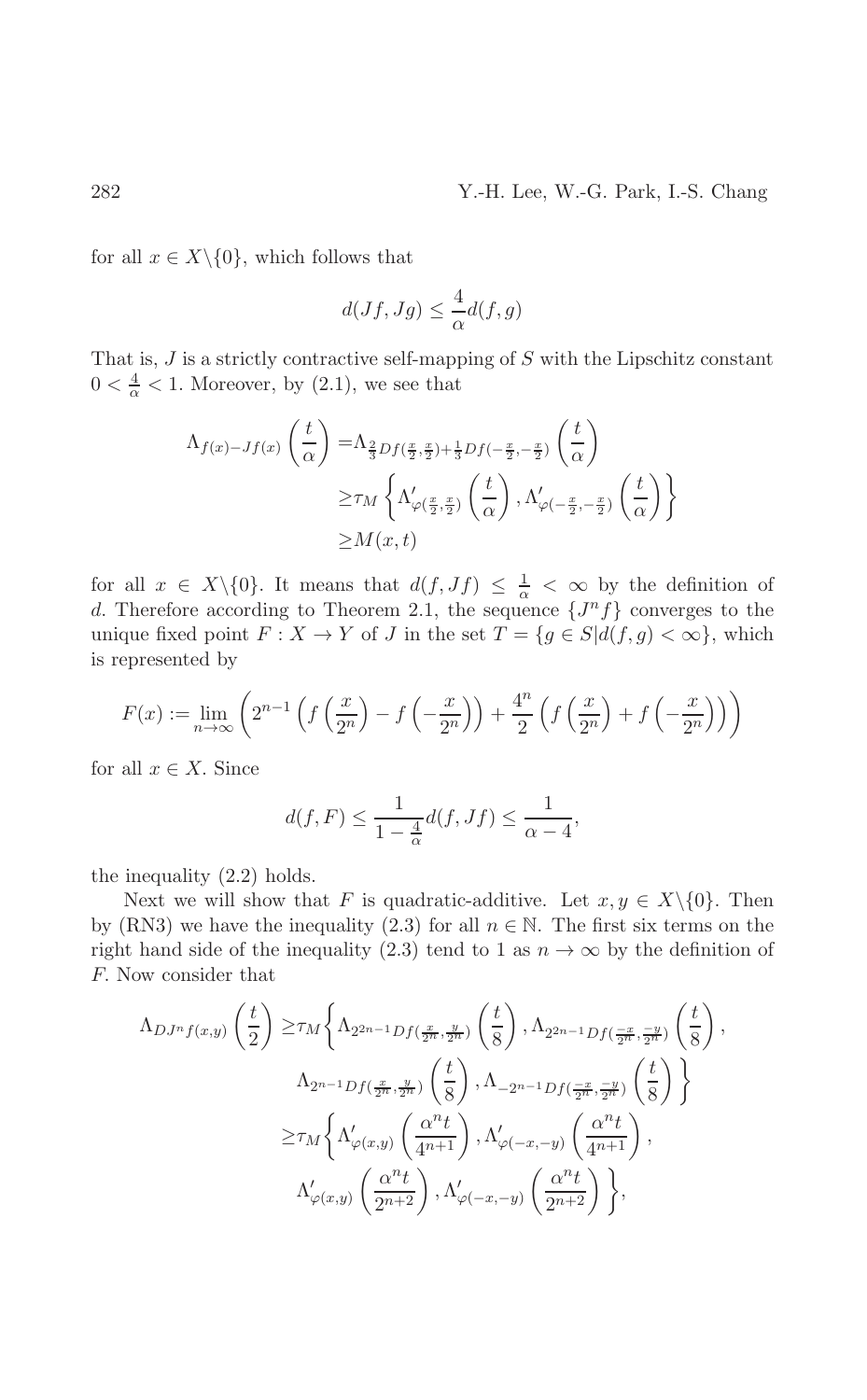## Y.-H. Lee, W.-G. Park, I.-S. Chang

for all  $x \in X \setminus \{0\}$ , which follows that

$$
d(Jf,Jg) \le \frac{4}{\alpha}d(f,g)
$$

That is,  $J$  is a strictly contractive self-mapping of  $S$  with the Lipschitz constant  $0 < \frac{4}{\alpha} < 1$ . Moreover, by (2.1), we see that

$$
\Lambda_{f(x)-Jf(x)}\left(\frac{t}{\alpha}\right) = \Lambda_{\frac{2}{3}Df(\frac{x}{2},\frac{x}{2})+\frac{1}{3}Df(-\frac{x}{2},-\frac{x}{2})}\left(\frac{t}{\alpha}\right)
$$

$$
\geq \tau_M \left\{\Lambda'_{\varphi(\frac{x}{2},\frac{x}{2})}\left(\frac{t}{\alpha}\right), \Lambda'_{\varphi(-\frac{x}{2},-\frac{x}{2})}\left(\frac{t}{\alpha}\right)\right\}
$$

$$
\geq M(x,t)
$$

for all  $x \in X \setminus \{0\}$ . It means that  $d(f, Jf) \leq \frac{1}{\alpha} < \infty$  by the definition of d. Therefore according to Theorem 2.1, the sequence  $\{J^n f\}$  converges to the unique fixed point  $F: X \to Y$  of J in the set  $T = \{g \in S | d(f, g) < \infty\}$ , which is represented by

$$
F(x) := \lim_{n \to \infty} \left( 2^{n-1} \left( f\left(\frac{x}{2^n}\right) - f\left(-\frac{x}{2^n}\right) \right) + \frac{4^n}{2} \left( f\left(\frac{x}{2^n}\right) + f\left(-\frac{x}{2^n}\right) \right) \right)
$$

for all  $x \in X$ . Since

$$
d(f, F) \le \frac{1}{1 - \frac{4}{\alpha}} d(f, Jf) \le \frac{1}{\alpha - 4}
$$

the inequality  $(2.2)$  holds.

Next we will show that F is quadratic-additive. Let  $x, y \in X \setminus \{0\}$ . Then by (RN3) we have the inequality (2.3) for all  $n \in \mathbb{N}$ . The first six terms on the right hand side of the inequality (2.3) tend to 1 as  $n \to \infty$  by the definition of F. Now consider that

$$
\Lambda_{DJ^n f(x,y)}\left(\frac{t}{2}\right) \geq \tau_M \left\{ \Lambda_{2^{2n-1}Df\left(\frac{x}{2^n}, \frac{y}{2^n}\right)}\left(\frac{t}{8}\right), \Lambda_{2^{2n-1}Df\left(\frac{-x}{2^n}, \frac{-y}{2^n}\right)}\left(\frac{t}{8}\right), \right.\n\Lambda_{2^{n-1}Df\left(\frac{x}{2^n}, \frac{y}{2^n}\right)}\left(\frac{t}{8}\right), \Lambda_{-2^{n-1}Df\left(\frac{-x}{2^n}, \frac{-y}{2^n}\right)}\left(\frac{t}{8}\right) \right\}\n\geq \tau_M \left\{ \Lambda'_{\varphi(x,y)}\left(\frac{\alpha^n t}{4^{n+1}}\right), \Lambda'_{\varphi(-x,-y)}\left(\frac{\alpha^n t}{4^{n+1}}\right), \right.\n\Lambda'_{\varphi(x,y)}\left(\frac{\alpha^n t}{2^{n+2}}\right), \Lambda'_{\varphi(-x,-y)}\left(\frac{\alpha^n t}{2^{n+2}}\right) \right\},
$$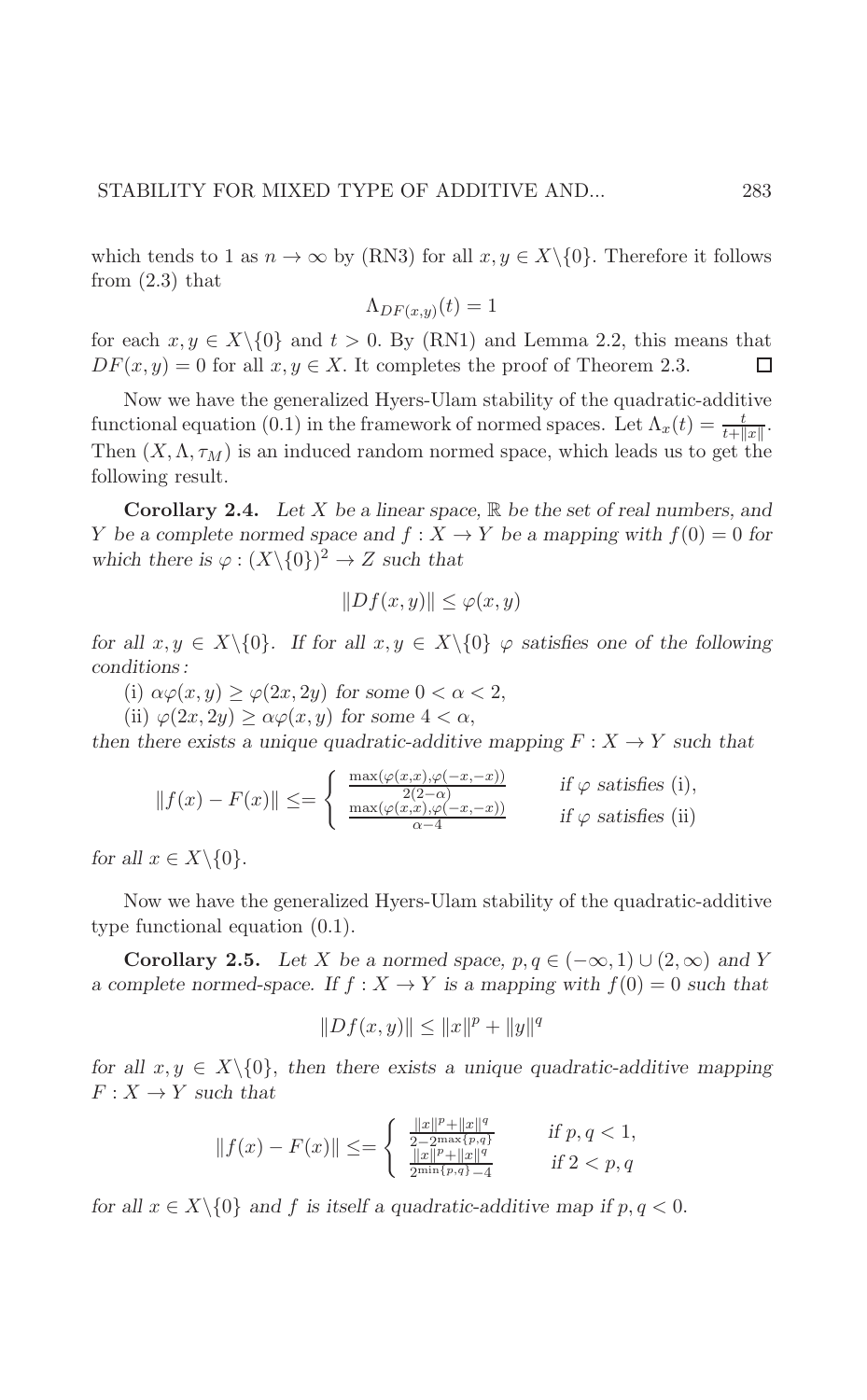which tends to 1 as  $n \to \infty$  by (RN3) for all  $x, y \in X \setminus \{0\}$ . Therefore it follows from  $(2.3)$  that

283

$$
\Lambda_{DF(x,y)}(t) = 1
$$

for each  $x, y \in X \setminus \{0\}$  and  $t > 0$ . By (RN1) and Lemma 2.2, this means that  $DF(x, y) = 0$  for all  $x, y \in X$ . It completes the proof of Theorem 2.3. П

Now we have the generalized Hyers-Ulam stability of the quadratic-additive functional equation (0.1) in the framework of normed spaces. Let  $\Lambda_x(t) = \frac{t}{t + ||x||}$ . Then  $(X, \Lambda, \tau_M)$  is an induced random normed space, which leads us to get the following result.

**Corollary 2.4.** Let X be a linear space,  $\mathbb{R}$  be the set of real numbers, and Y be a complete normed space and  $f: X \to Y$  be a mapping with  $f(0) = 0$  for which there is  $\varphi : (X \setminus \{0\})^2 \to Z$  such that

$$
||Df(x,y)|| \le \varphi(x,y)
$$

for all  $x, y \in X \setminus \{0\}$ . If for all  $x, y \in X \setminus \{0\}$   $\varphi$  satisfies one of the following conditions:

(i)  $\alpha\varphi(x,y) \geq \varphi(2x,2y)$  for some  $0 < \alpha < 2$ ,

(ii)  $\varphi(2x, 2y) \ge \alpha \varphi(x, y)$  for some  $4 < \alpha$ ,

then there exists a unique quadratic-additive mapping  $F: X \to Y$  such that

$$
||f(x) - F(x)|| \le = \begin{cases} \frac{\max(\varphi(x, x), \varphi(-x, -x))}{2(2-\alpha)} & \text{if } \varphi \text{ satisfies (i)},\\ \frac{\max(\varphi(x, x), \varphi(-x, -x))}{\alpha - 4} & \text{if } \varphi \text{ satisfies (ii)} \end{cases}
$$

for all  $x \in X \setminus \{0\}$ .

Now we have the generalized Hyers-Ulam stability of the quadratic-additive type functional equation  $(0.1)$ .

**Corollary 2.5.** Let X be a normed space,  $p, q \in (-\infty, 1) \cup (2, \infty)$  and Y a complete normed-space. If  $f: X \to Y$  is a mapping with  $f(0) = 0$  such that

$$
||Df(x,y)|| \le ||x||^p + ||y||^q
$$

for all  $x, y \in X \setminus \{0\}$ , then there exists a unique quadratic-additive mapping  $F: X \to Y$  such that

$$
||f(x) - F(x)|| \le = \begin{cases} \frac{||x||^p + ||x||^q}{2 - 2\max\{p, q\}} & \text{if } p, q < 1, \\ \frac{||x||^p + ||x||^q}{2\min\{p, q\} - 4} & \text{if } 2 < p, q \end{cases}
$$

for all  $x \in X \setminus \{0\}$  and f is itself a quadratic-additive map if  $p, q < 0$ .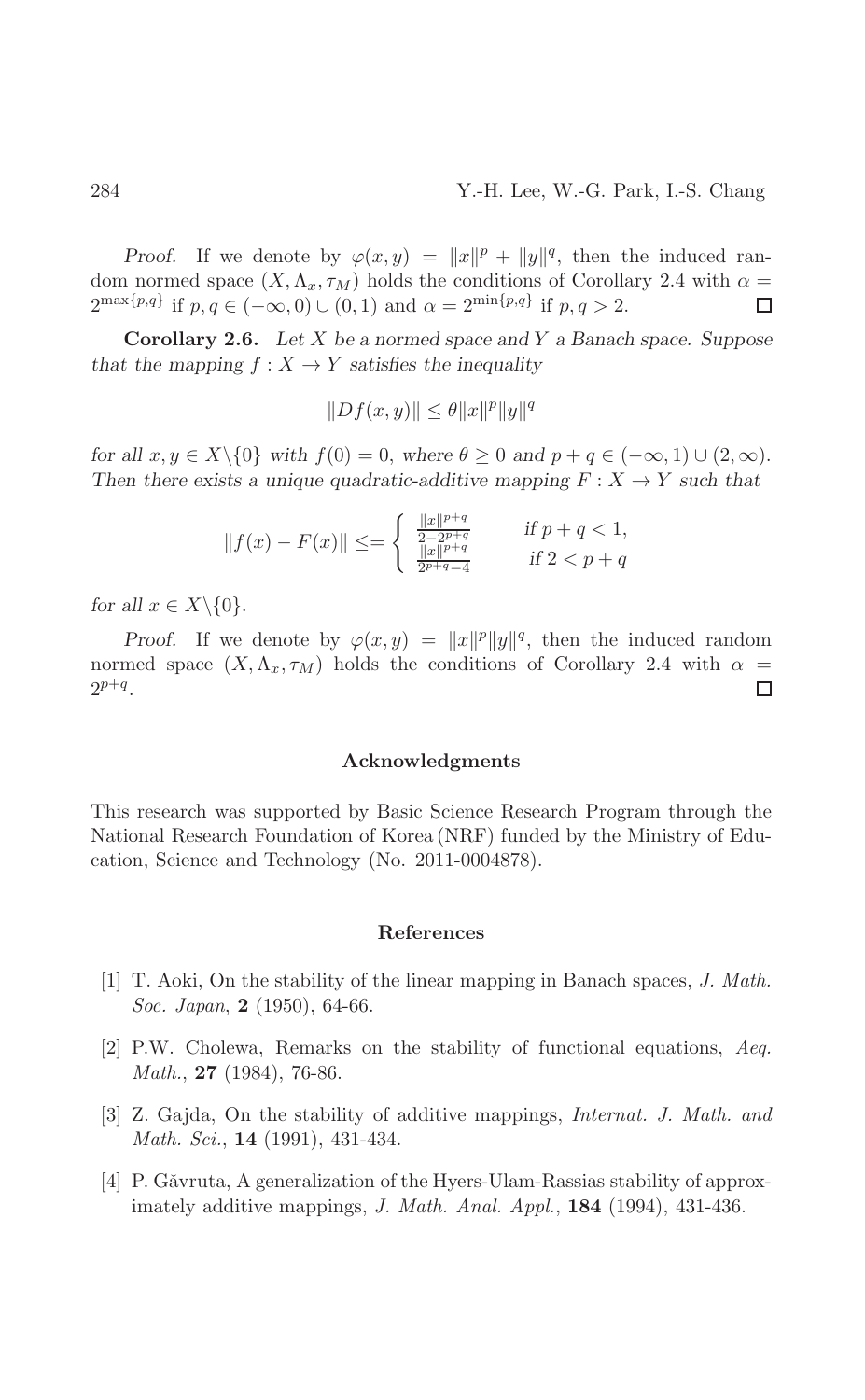*Proof.* If we denote by  $\varphi(x,y) = ||x||^p + ||y||^q$ , then the induced random normed space  $(X, \Lambda_x, \tau_M)$  holds the conditions of Corollary 2.4 with  $\alpha =$  $2^{\max\{p,q\}}$  if  $p,q \in (-\infty,0) \cup (0,1)$  and  $\alpha = 2^{\min\{p,q\}}$  if  $p,q > 2$ .  $\Box$ 

**Corollary 2.6.** Let  $X$  be a normed space and  $Y$  a Banach space. Suppose that the mapping  $f: X \to Y$  satisfies the inequality

$$
||Df(x,y)|| \le \theta ||x||^p ||y||^q
$$

for all  $x, y \in X \setminus \{0\}$  with  $f(0) = 0$ , where  $\theta \ge 0$  and  $p + q \in (-\infty, 1) \cup (2, \infty)$ . Then there exists a unique quadratic-additive mapping  $F: X \to Y$  such that

$$
||f(x) - F(x)|| \le = \begin{cases} \frac{||x||^{p+q}}{2 - 2p + q} & \text{if } p + q < 1, \\ \frac{||x||^{p+q}}{2p + q - 4} & \text{if } 2 < p + q \end{cases}
$$

for all  $x \in X \setminus \{0\}.$ 

*Proof.* If we denote by  $\varphi(x,y) = ||x||^p ||y||^q$ , then the induced random normed space  $(X, \Lambda_x, \tau_M)$  holds the conditions of Corollary 2.4 with  $\alpha =$  $2^{p+q}$ .  $\Box$ 

#### Acknowledgments

This research was supported by Basic Science Research Program through the National Research Foundation of Korea (NRF) funded by the Ministry of Education, Science and Technology (No. 2011-0004878).

#### References

- [1] T. Aoki, On the stability of the linear mapping in Banach spaces, J. Math. Soc. Japan, 2 (1950), 64-66.
- [2] P.W. Cholewa, Remarks on the stability of functional equations, Aeq. *Math.*, **27** (1984), 76-86.
- [3] Z. Gajda, On the stability of additive mappings, *Internat. J. Math. and Math. Sci.*, **14** (1991), 431-434.
- [4] P. Găvruta, A generalization of the Hyers-Ulam-Rassias stability of approximately additive mappings, *J. Math. Anal. Appl.*, **184** (1994), 431-436.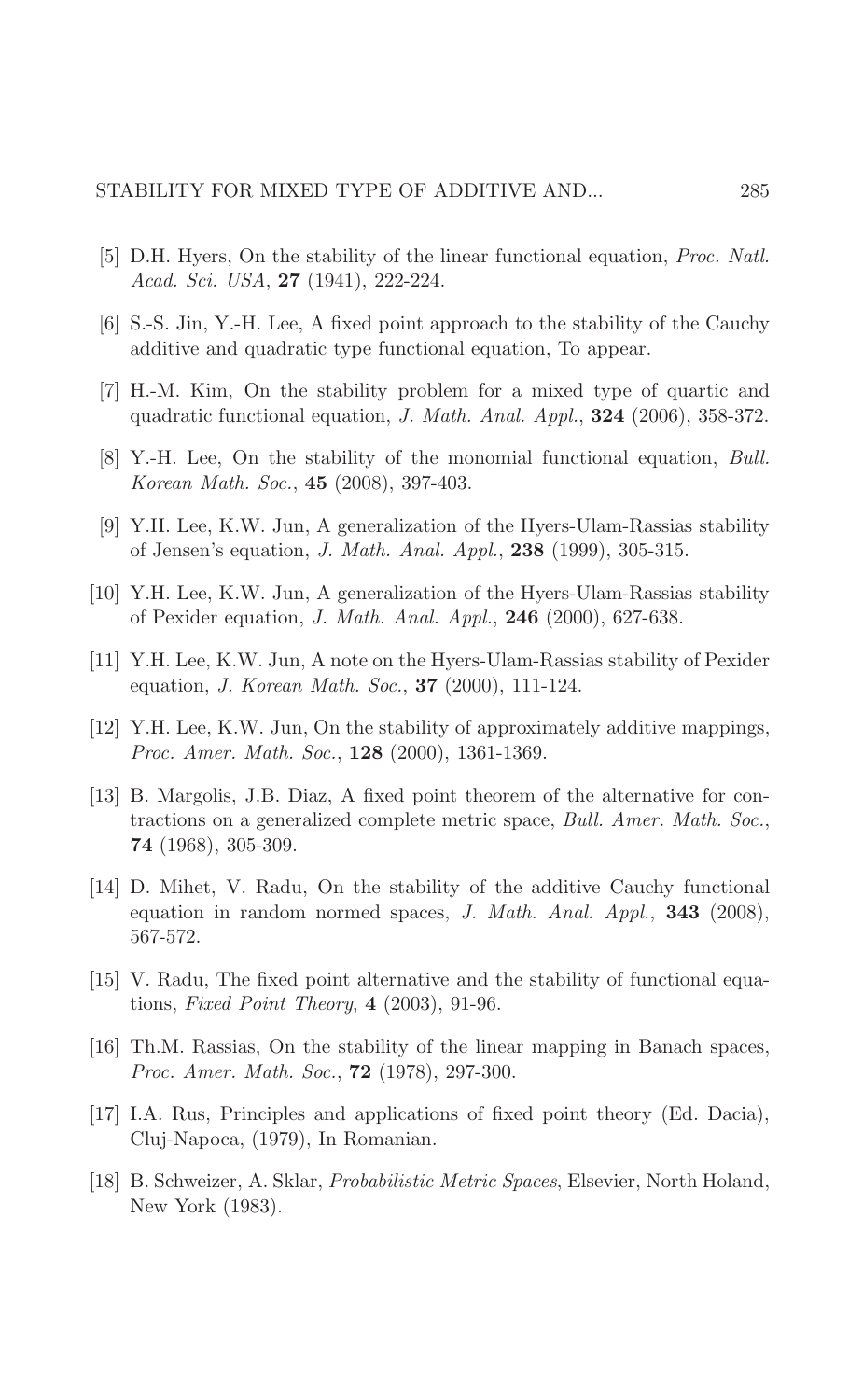- [5] D.H. Hyers, On the stability of the linear functional equation, Proc. Natl. Acad. Sci. USA, 27 (1941), 222-224.
- [6] S.-S. Jin, Y.-H. Lee, A fixed point approach to the stability of the Cauchy additive and quadratic type functional equation. To appear.
- [7] H.-M. Kim, On the stability problem for a mixed type of quartic and quadratic functional equation,  $J. Math. Anal. Appl.$ ,  $324$  (2006), 358-372.
- [8] Y.-H. Lee, On the stability of the monomial functional equation, Bull. Korean Math. Soc., 45 (2008), 397-403.
- [9] Y.H. Lee, K.W. Jun, A generalization of the Hyers-Ulam-Rassias stability of Jensen's equation, *J. Math. Anal. Appl.*, **238** (1999), 305-315.
- [10] Y.H. Lee, K.W. Jun, A generalization of the Hyers-Ulam-Rassias stability of Pexider equation, *J. Math. Anal. Appl.*, **246** (2000), 627-638.
- [11] Y.H. Lee, K.W. Jun, A note on the Hyers-Ulam-Rassias stability of Pexider equation, *J. Korean Math. Soc.*, **37** (2000), 111-124.
- [12] Y.H. Lee, K.W. Jun, On the stability of approximately additive mappings, Proc. Amer. Math. Soc., 128 (2000), 1361-1369.
- [13] B. Margolis, J.B. Diaz, A fixed point theorem of the alternative for contractions on a generalized complete metric space, Bull. Amer. Math. Soc., 74  $(1968)$ , 305-309.
- [14] D. Mihet, V. Radu, On the stability of the additive Cauchy functional equation in random normed spaces, J. Math. Anal. Appl., 343 (2008), 567-572.
- [15] V. Radu, The fixed point alternative and the stability of functional equations, *Fixed Point Theory*,  $4$  (2003), 91-96.
- [16] Th.M. Rassias, On the stability of the linear mapping in Banach spaces, Proc. Amer. Math. Soc., 72 (1978), 297-300.
- [17] I.A. Rus, Principles and applications of fixed point theory (Ed. Dacia), Cluj-Napoca, (1979), In Romanian.
- [18] B. Schweizer, A. Sklar, Probabilistic Metric Spaces, Elsevier, North Holand, New York (1983).